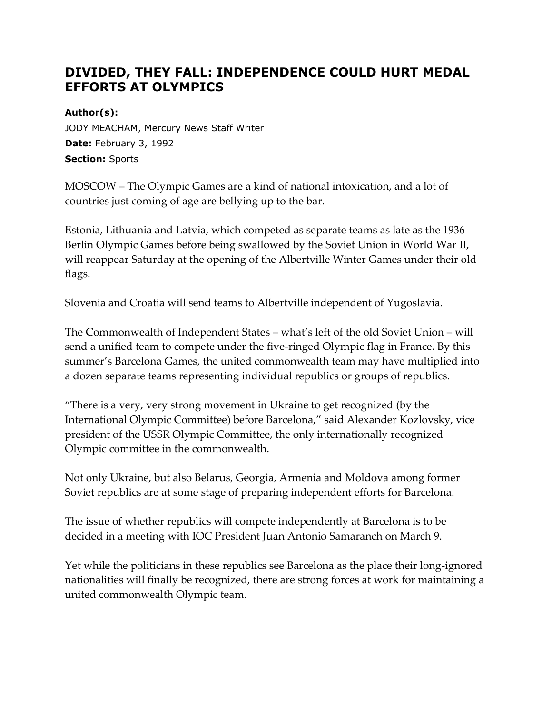## **DIVIDED, THEY FALL: INDEPENDENCE COULD HURT MEDAL EFFORTS AT OLYMPICS**

## **Author(s):**

JODY MEACHAM, Mercury News Staff Writer **Date:** February 3, 1992 **Section:** Sports

MOSCOW – The Olympic Games are a kind of national intoxication, and a lot of countries just coming of age are bellying up to the bar.

Estonia, Lithuania and Latvia, which competed as separate teams as late as the 1936 Berlin Olympic Games before being swallowed by the Soviet Union in World War II, will reappear Saturday at the opening of the Albertville Winter Games under their old flags.

Slovenia and Croatia will send teams to Albertville independent of Yugoslavia.

The Commonwealth of Independent States – what's left of the old Soviet Union – will send a unified team to compete under the five-ringed Olympic flag in France. By this summer's Barcelona Games, the united commonwealth team may have multiplied into a dozen separate teams representing individual republics or groups of republics.

"There is a very, very strong movement in Ukraine to get recognized (by the International Olympic Committee) before Barcelona," said Alexander Kozlovsky, vice president of the USSR Olympic Committee, the only internationally recognized Olympic committee in the commonwealth.

Not only Ukraine, but also Belarus, Georgia, Armenia and Moldova among former Soviet republics are at some stage of preparing independent efforts for Barcelona.

The issue of whether republics will compete independently at Barcelona is to be decided in a meeting with IOC President Juan Antonio Samaranch on March 9.

Yet while the politicians in these republics see Barcelona as the place their long-ignored nationalities will finally be recognized, there are strong forces at work for maintaining a united commonwealth Olympic team.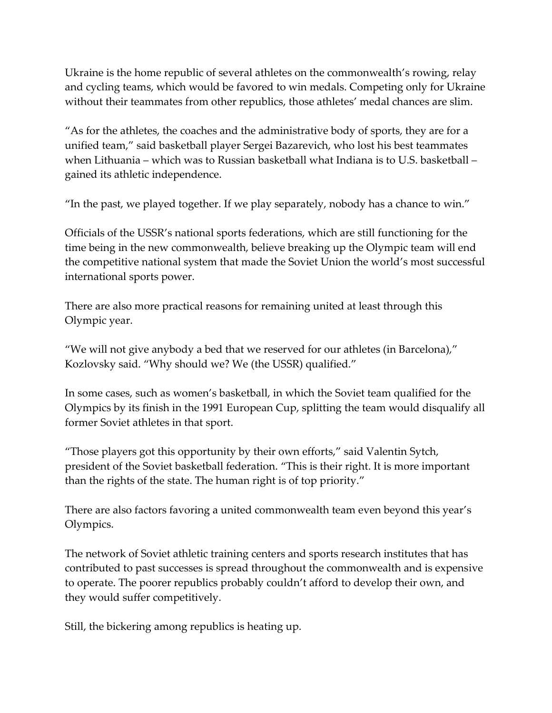Ukraine is the home republic of several athletes on the commonwealth's rowing, relay and cycling teams, which would be favored to win medals. Competing only for Ukraine without their teammates from other republics, those athletes' medal chances are slim.

"As for the athletes, the coaches and the administrative body of sports, they are for a unified team," said basketball player Sergei Bazarevich, who lost his best teammates when Lithuania – which was to Russian basketball what Indiana is to U.S. basketball – gained its athletic independence.

"In the past, we played together. If we play separately, nobody has a chance to win."

Officials of the USSR's national sports federations, which are still functioning for the time being in the new commonwealth, believe breaking up the Olympic team will end the competitive national system that made the Soviet Union the world's most successful international sports power.

There are also more practical reasons for remaining united at least through this Olympic year.

"We will not give anybody a bed that we reserved for our athletes (in Barcelona)," Kozlovsky said. "Why should we? We (the USSR) qualified."

In some cases, such as women's basketball, in which the Soviet team qualified for the Olympics by its finish in the 1991 European Cup, splitting the team would disqualify all former Soviet athletes in that sport.

"Those players got this opportunity by their own efforts," said Valentin Sytch, president of the Soviet basketball federation. "This is their right. It is more important than the rights of the state. The human right is of top priority."

There are also factors favoring a united commonwealth team even beyond this year's Olympics.

The network of Soviet athletic training centers and sports research institutes that has contributed to past successes is spread throughout the commonwealth and is expensive to operate. The poorer republics probably couldn't afford to develop their own, and they would suffer competitively.

Still, the bickering among republics is heating up.